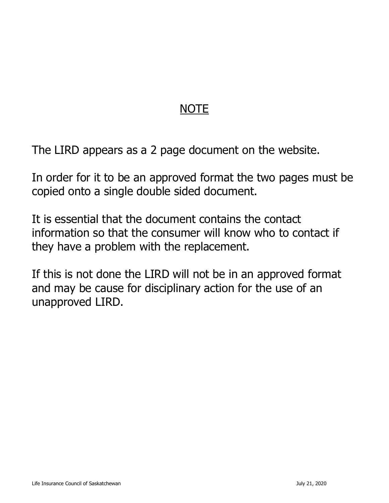# NOTE

The LIRD appears as a 2 page document on the website.

In order for it to be an approved format the two pages must be copied onto a single double sided document.

It is essential that the document contains the contact information so that the consumer will know who to contact if they have a problem with the replacement.

If this is not done the LIRD will not be in an approved format and may be cause for disciplinary action for the use of an unapproved LIRD.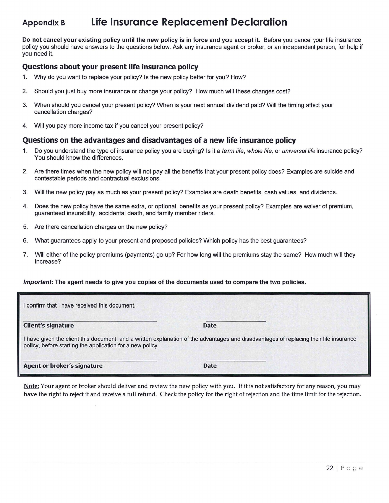### Appendix B Life Insurance Replacement Declaration

Do not cancel your existing policy until the new policy is in force and you accept it. Before you cancel your life insurance policy you should have answers to the questions below. Ask any insurance agent or broker, or an independent person, for help if you need it.

#### Questions about your present life insurance policy

- 1. Why do you want to replace your policy? Is the new policy better for you? How?
- 2. Should you just buy more insurance or change your policy? How much will these changes cost?
- 3. When should you cancel your present policy? When is your next annual dividend paid? Will the timing affect your cancellation charges?
- 4. Will you pay more income tax if you cancel your present policy?

#### Questions on the advantages and disadvantages of a new life insurance policy

- 1. Do you understand the type of insurance policy you are buying? Is it a term life, whole life, or universal life insurance policy? You should know the differences.
- 2. Are there times when the new policy will not pay all the benefits that your present policy does? Examples are suicide and contestable periods and contractual exclusions.
- 3. Will the new policy pay as much as your present policy? Examples are death benefits, cash values, and dividends.
- 4. Does the new policy have the same extra, or optional, benefits as your present policy? Examples are waiver of premium, guaranteed insurability, accidental death, and family member riders.
- 5. Are there cancellation charges on the new policy?
- 6. What guarantees apply to your present and proposed policies? Which policy has the best guarantees?
- 7. Will either of the policy premiums (payments) go up? For how long will the premiums stay the same? How much will they increase?

#### Important: The agent needs to give you copies of the documents used to compare the two policies.

| I confirm that I have received this document.                                                                                                                                                       |             |  |  |  |  |  |
|-----------------------------------------------------------------------------------------------------------------------------------------------------------------------------------------------------|-------------|--|--|--|--|--|
| <b>Client's signature</b>                                                                                                                                                                           | <b>Date</b> |  |  |  |  |  |
| I have given the client this document, and a written explanation of the advantages and disadvantages of replacing their life insurance<br>policy, before starting the application for a new policy. |             |  |  |  |  |  |
| <b>Agent or broker's signature</b>                                                                                                                                                                  | <b>Date</b> |  |  |  |  |  |

Note: Your agent or broker should deliver and review the new policy with you. If it is not satisfactory for any reason, you may have the right to reject it and receive a full refund. Check the policy for the right of rejection and the time limit for the rejection.